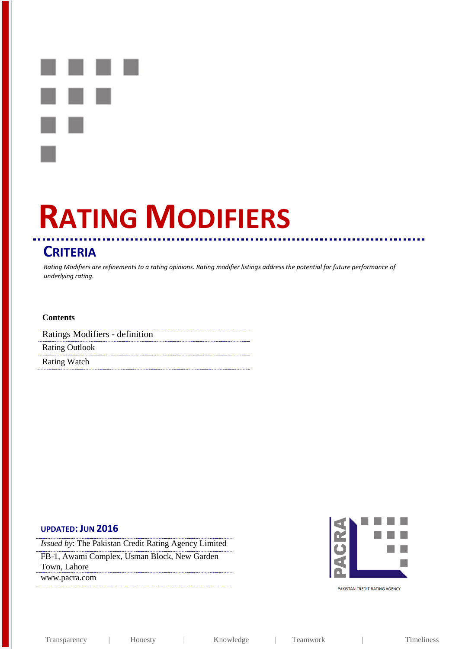# **RATING MODIFIERS**

## **CRITERIA**

*Rating Modifiers are refinements to a rating opinions. Rating modifier listings address the potential for future performance of underlying rating.* 

#### **Contents**

| Ratings Modifiers - definition |
|--------------------------------|
| <b>Rating Outlook</b>          |
| <b>Rating Watch</b>            |

## **UPDATED: JUN 2016**

*Issued by*: The Pakistan Credit Rating Agency Limited FB-1, Awami Complex, Usman Block, New Garden Town, Lahore www.pacra.com



PAKISTAN CREDIT RATING AGENCY

Transparency | Honesty | Knowledge | Teamwork | Timeliness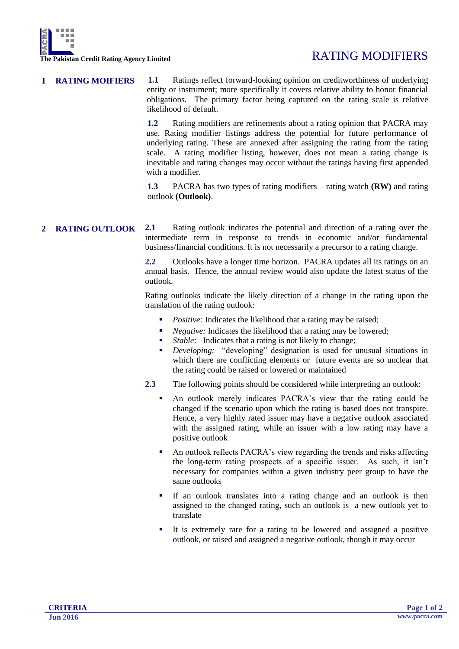**1 RATING MOIFIERS 1.1** Ratings reflect forward-looking opinion on creditworthiness of underlying entity or instrument; more specifically it covers relative ability to honor financial obligations. The primary factor being captured on the rating scale is relative likelihood of default.

> **1.2** Rating modifiers are refinements about a rating opinion that PACRA may use. Rating modifier listings address the potential for future performance of underlying rating. These are annexed after assigning the rating from the rating scale. A rating modifier listing, however, does not mean a rating change is inevitable and rating changes may occur without the ratings having first appended with a modifier.

> **1.3** PACRA has two types of rating modifiers – rating watch **(RW)** and rating outlook **(Outlook)**.

### **2 RATING OUTLOOK 2.1** Rating outlook indicates the potential and direction of a rating over the intermediate term in response to trends in economic and/or fundamental business/financial conditions. It is not necessarily a precursor to a rating change.

**2.2** Outlooks have a longer time horizon. PACRA updates all its ratings on an annual basis. Hence, the annual review would also update the latest status of the outlook.

Rating outlooks indicate the likely direction of a change in the rating upon the translation of the rating outlook:

- *Positive:* Indicates the likelihood that a rating may be raised;
- *Negative:* Indicates the likelihood that a rating may be lowered;
- *Stable:* Indicates that a rating is not likely to change;
- *Developing:* "developing" designation is used for unusual situations in which there are conflicting elements or future events are so unclear that the rating could be raised or lowered or maintained
- **2.3** The following points should be considered while interpreting an outlook:
	- An outlook merely indicates PACRA's view that the rating could be changed if the scenario upon which the rating is based does not transpire. Hence, a very highly rated issuer may have a negative outlook associated with the assigned rating, while an issuer with a low rating may have a positive outlook
	- An outlook reflects PACRA's view regarding the trends and risks affecting the long-term rating prospects of a specific issuer. As such, it isn't necessary for companies within a given industry peer group to have the same outlooks
	- If an outlook translates into a rating change and an outlook is then assigned to the changed rating, such an outlook is a new outlook yet to translate
	- It is extremely rare for a rating to be lowered and assigned a positive outlook, or raised and assigned a negative outlook, though it may occur